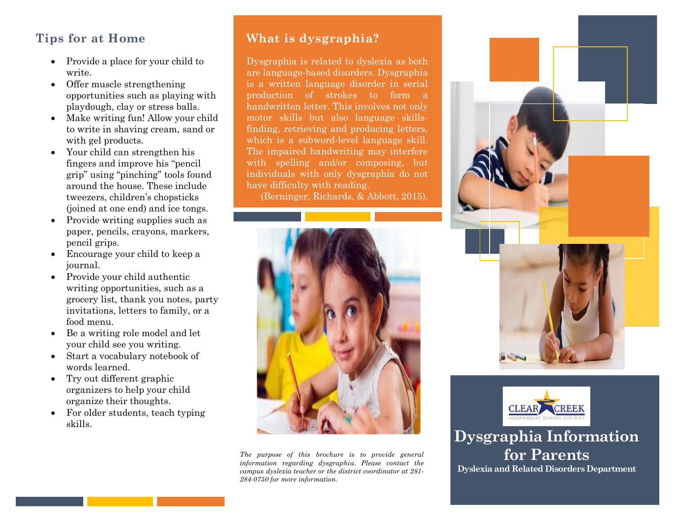### **Tips for at Home**

- Provide a place for your child to write.
- Offer muscle strengthening opportunities such as playing with playdough, clay or stress balls.
- Make writing fun! Allow your child to write in shaving cream, sand or with gel products.
- Your child can strengthen his fingers and improve his "pencil grip" using "pinching" tools found around the house. These include tweezers, children's chopsticks (joined at one end) and ice tongs.
- Provide writing supplies such as paper, pencils, crayons, markers, pencil grips.
- Encourage your child to keep a journal.
- Provide your child authentic writing opportunities, such as a grocery list, thank you notes, party invitations, letters to family, or a food menu.
- Be a writing role model and let your child see you writing.
- Start a vocabulary notebook of words learned.
- Try out different graphic organizers to help your child organize their thoughts.
- For older students, teach typing skills.

## **What is dysgraphia?**

Dysgraphia is related to dyslexia as both are language-based disorders. Dysgraphia is a written language disorder in serial production of strokes to form a handwritten letter. This involves not only motor skills but also language skillsfinding, retrieving and producing letters, which is a subword-level language skill. The impaired handwriting may interfere with spelling and/or composing, but individuals with only dysgraphia do not have difficulty with reading.

(Berninger, Richards, & Abbott, 2015).



*The purpose of this brochure is to provide general information regarding dysgraphia. Please contact the campus dyslexia teacher or the district coordinator at 281- 284-0750 for more information.*





**Dysgraphia Information for Parents Dyslexia and Related Disorders Department**